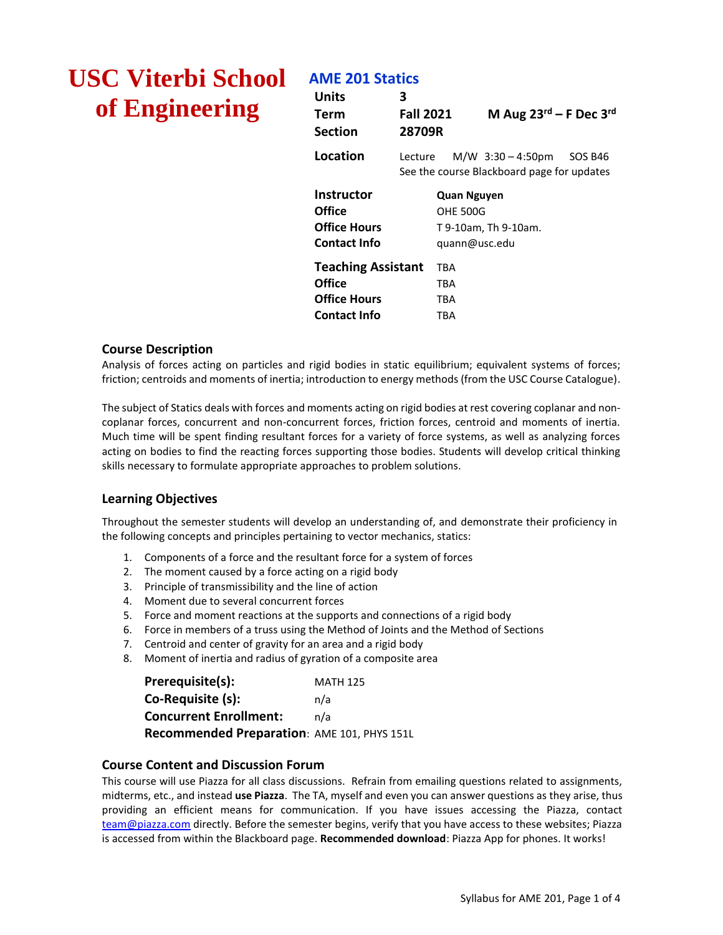# **USC Viterbi School of Engineering**

## **AME 201 Statics**

| Units<br>Term<br>Section                                            | 3<br><b>Fall 2021</b><br>28709R |                                                 | M Aug $23^{\text{rd}}$ – F Dec 3 <sup>rd</sup>                            |  |
|---------------------------------------------------------------------|---------------------------------|-------------------------------------------------|---------------------------------------------------------------------------|--|
| Location                                                            | Lecture                         |                                                 | $M/W$ 3:30 – 4:50pm SOS B46<br>See the course Blackboard page for updates |  |
| Instructor<br>Office<br>Office Hours<br><b>Contact Info</b>         |                                 | Quan Nguyen<br><b>OHE 500G</b><br>guann@usc.edu | T 9-10am, Th 9-10am.                                                      |  |
| <b>Teaching Assistant</b><br>Office<br>Office Hours<br>Contact Info |                                 | TBA<br>TBA<br>TBA<br>TBA                        |                                                                           |  |

#### **Course Description**

Analysis of forces acting on particles and rigid bodies in static equilibrium; equivalent systems of forces; friction; centroids and moments of inertia; introduction to energy methods (from the USC Course Catalogue).

The subject of Statics deals with forces and moments acting on rigid bodies at rest covering coplanar and noncoplanar forces, concurrent and non-concurrent forces, friction forces, centroid and moments of inertia. Much time will be spent finding resultant forces for a variety of force systems, as well as analyzing forces acting on bodies to find the reacting forces supporting those bodies. Students will develop critical thinking skills necessary to formulate appropriate approaches to problem solutions.

### **Learning Objectives**

Throughout the semester students will develop an understanding of, and demonstrate their proficiency in the following concepts and principles pertaining to vector mechanics, statics:

- 1. Components of a force and the resultant force for a system of forces
- 2. The moment caused by a force acting on a rigid body
- 3. Principle of transmissibility and the line of action
- 4. Moment due to several concurrent forces
- 5. Force and moment reactions at the supports and connections of a rigid body
- 6. Force in members of a truss using the Method of Joints and the Method of Sections
- 7. Centroid and center of gravity for an area and a rigid body
- 8. Moment of inertia and radius of gyration of a composite area

| Prerequisite(s):                            | <b>MATH 125</b> |
|---------------------------------------------|-----------------|
| Co-Requisite (s):                           | n/a             |
| <b>Concurrent Enrollment:</b>               | n/a             |
| Recommended Preparation: AME 101, PHYS 151L |                 |

#### **Course Content and Discussion Forum**

This course will use Piazza for all class discussions. Refrain from emailing questions related to assignments, midterms, etc., and instead **use Piazza**. The TA, myself and even you can answer questions as they arise, thus providing an efficient means for communication. If you have issues accessing the Piazza, contact [team@piazza.com](mailto:team@piazza.com) directly. Before the semester begins, verify that you have access to these websites; Piazza is accessed from within the Blackboard page. **Recommended download**: Piazza App for phones. It works!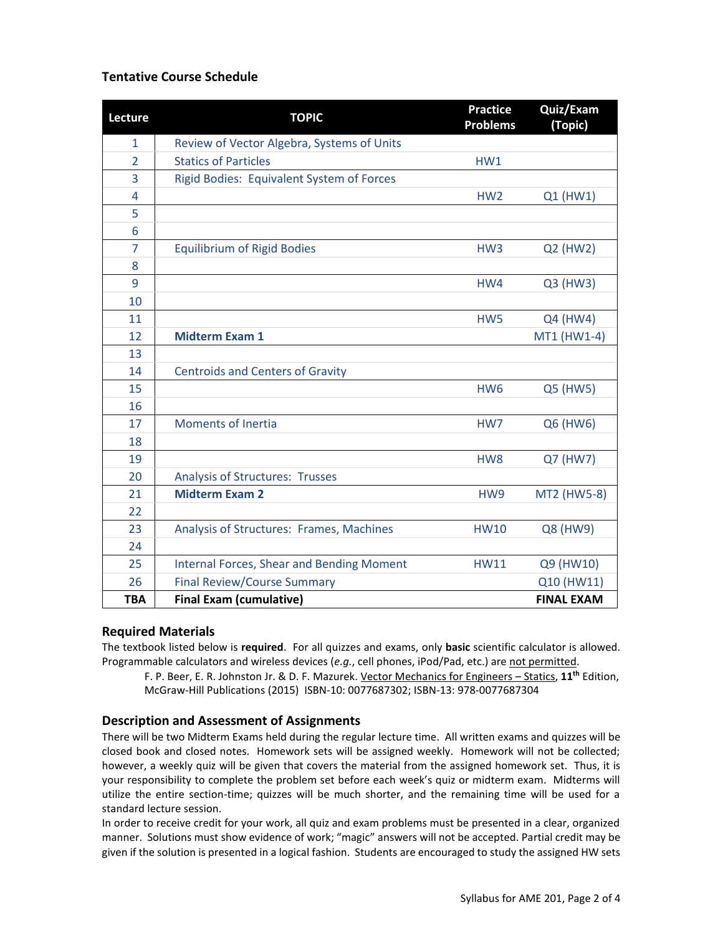### **Tentative Course Schedule**

| Lecture        | <b>TOPIC</b>                                     | <b>Practice</b><br><b>Problems</b> | Quiz/Exam<br>(Topic) |
|----------------|--------------------------------------------------|------------------------------------|----------------------|
| $\mathbf{1}$   | Review of Vector Algebra, Systems of Units       |                                    |                      |
| $\overline{2}$ | <b>Statics of Particles</b>                      | HW1                                |                      |
| 3              | Rigid Bodies: Equivalent System of Forces        |                                    |                      |
| 4              |                                                  | HW <sub>2</sub>                    | Q1 (HW1)             |
| 5              |                                                  |                                    |                      |
| 6              |                                                  |                                    |                      |
| $\overline{7}$ | <b>Equilibrium of Rigid Bodies</b>               | HW <sub>3</sub>                    | Q2 (HW2)             |
| 8              |                                                  |                                    |                      |
| 9              |                                                  | HW4                                | Q3 (HW3)             |
| 10             |                                                  |                                    |                      |
| 11             |                                                  | HW <sub>5</sub>                    | Q4 (HW4)             |
| 12             | <b>Midterm Exam 1</b>                            |                                    | MT1 (HW1-4)          |
| 13             |                                                  |                                    |                      |
| 14             | <b>Centroids and Centers of Gravity</b>          |                                    |                      |
| 15             |                                                  | HW <sub>6</sub>                    | Q5 (HW5)             |
| 16             |                                                  |                                    |                      |
| 17             | <b>Moments of Inertia</b>                        | HW7                                | Q6 (HW6)             |
| 18             |                                                  |                                    |                      |
| 19             |                                                  | HW <sub>8</sub>                    | Q7 (HW7)             |
| 20             | <b>Analysis of Structures: Trusses</b>           |                                    |                      |
| 21             | <b>Midterm Exam 2</b>                            | HW9                                | MT2 (HW5-8)          |
| 22             |                                                  |                                    |                      |
| 23             | Analysis of Structures: Frames, Machines         | <b>HW10</b>                        | Q8 (HW9)             |
| 24             |                                                  |                                    |                      |
| 25             | <b>Internal Forces, Shear and Bending Moment</b> | <b>HW11</b>                        | Q9 (HW10)            |
| 26             | <b>Final Review/Course Summary</b>               |                                    | Q10 (HW11)           |
| <b>TBA</b>     | <b>Final Exam (cumulative)</b>                   |                                    | <b>FINAL EXAM</b>    |

#### **Required Materials**

The textbook listed below is **required**. For all quizzes and exams, only **basic** scientific calculator is allowed. Programmable calculators and wireless devices (e.g., cell phones, iPod/Pad, etc.) are not permitted.

F. P. Beer, E. R. Johnston Jr. & D. F. Mazurek. Vector Mechanics for Engineers – Statics, **11th** Edition, McGraw-Hill Publications (2015) ISBN-10: 0077687302; ISBN-13: 978-0077687304

#### **Description and Assessment of Assignments**

There will be two Midterm Exams held during the regular lecture time. All written exams and quizzes will be closed book and closed notes. Homework sets will be assigned weekly. Homework will not be collected; however, a weekly quiz will be given that covers the material from the assigned homework set. Thus, it is your responsibility to complete the problem set before each week's quiz or midterm exam. Midterms will utilize the entire section-time; quizzes will be much shorter, and the remaining time will be used for a standard lecture session.

In order to receive credit for your work, all quiz and exam problems must be presented in a clear, organized manner. Solutions must show evidence of work; "magic" answers will not be accepted. Partial credit may be given if the solution is presented in a logical fashion. Students are encouraged to study the assigned HW sets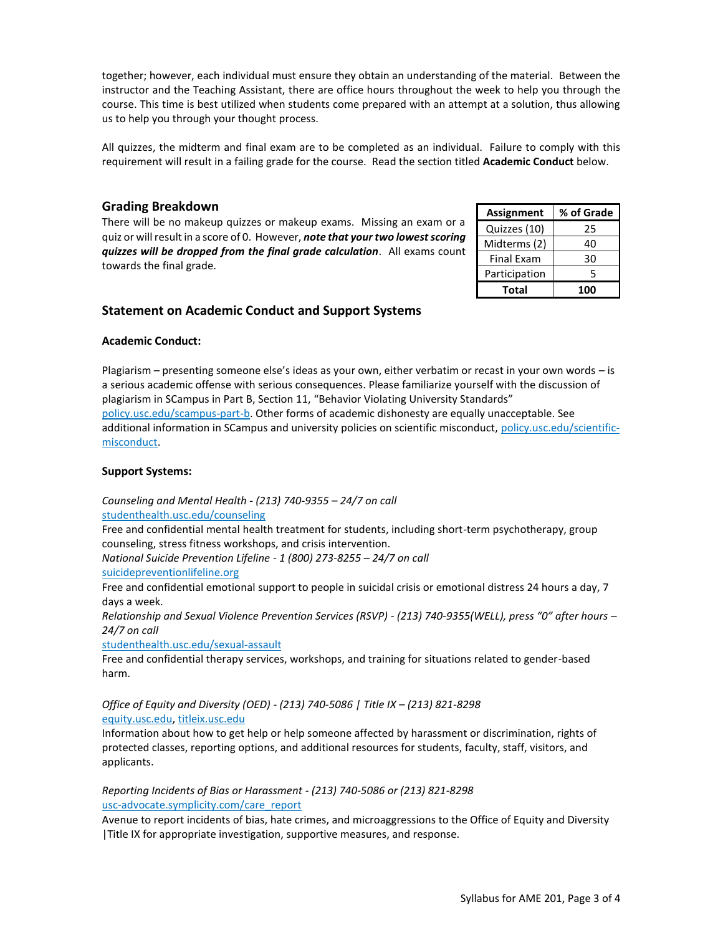together; however, each individual must ensure they obtain an understanding of the material. Between the instructor and the Teaching Assistant, there are office hours throughout the week to help you through the course. This time is best utilized when students come prepared with an attempt at a solution, thus allowing us to help you through your thought process.

All quizzes, the midterm and final exam are to be completed as an individual. Failure to comply with this requirement will result in a failing grade for the course. Read the section titled **Academic Conduct** below.

#### **Grading Breakdown**

There will be no makeup quizzes or makeup exams. Missing an exam or a quiz or will result in a score of 0. However, *note that your two lowest scoring quizzes will be dropped from the final grade calculation*. All exams count towards the final grade.

| <b>Assignment</b> | % of Grade |  |
|-------------------|------------|--|
| Quizzes (10)      | 25         |  |
| Midterms (2)      | 40         |  |
| <b>Final Exam</b> | 30         |  |
| Participation     | 5          |  |
| Total             | 100        |  |

#### **Statement on Academic Conduct and Support Systems**

#### **Academic Conduct:**

Plagiarism – presenting someone else's ideas as your own, either verbatim or recast in your own words – is a serious academic offense with serious consequences. Please familiarize yourself with the discussion of plagiarism in SCampus in Part B, Section 11, "Behavior Violating University Standards" [policy.usc.edu/scampus-part-b.](https://policy.usc.edu/scampus-part-b/) Other forms of academic dishonesty are equally unacceptable. See additional information in SCampus and university policies on scientific misconduct, [policy.usc.edu/scientific](http://policy.usc.edu/scientific-misconduct)[misconduct.](http://policy.usc.edu/scientific-misconduct)

#### **Support Systems:**

*Counseling and Mental Health - (213) 740-9355 – 24/7 on call* [studenthealth.usc.edu/counseling](https://studenthealth.usc.edu/counseling/)

Free and confidential mental health treatment for students, including short-term psychotherapy, group counseling, stress fitness workshops, and crisis intervention.

*National Suicide Prevention Lifeline - 1 (800) 273-8255 – 24/7 on call*

[suicidepreventionlifeline.org](http://www.suicidepreventionlifeline.org/)

Free and confidential emotional support to people in suicidal crisis or emotional distress 24 hours a day, 7 days a week.

*Relationship and Sexual Violence Prevention Services (RSVP) - (213) 740-9355(WELL), press "0" after hours – 24/7 on call*

[studenthealth.usc.edu/sexual-assault](https://studenthealth.usc.edu/sexual-assault/)

Free and confidential therapy services, workshops, and training for situations related to gender-based harm.

*Office of Equity and Diversity (OED) - (213) 740-5086 | Title IX – (213) 821-8298* [equity.usc.edu,](https://equity.usc.edu/) [titleix.usc.edu](http://titleix.usc.edu/)

Information about how to get help or help someone affected by harassment or discrimination, rights of protected classes, reporting options, and additional resources for students, faculty, staff, visitors, and applicants.

#### *Reporting Incidents of Bias or Harassment - (213) 740-5086 or (213) 821-8298* [usc-advocate.symplicity.com/care\\_report](https://usc-advocate.symplicity.com/care_report/)

Avenue to report incidents of bias, hate crimes, and microaggressions to the Office of Equity and Diversity |Title IX for appropriate investigation, supportive measures, and response.